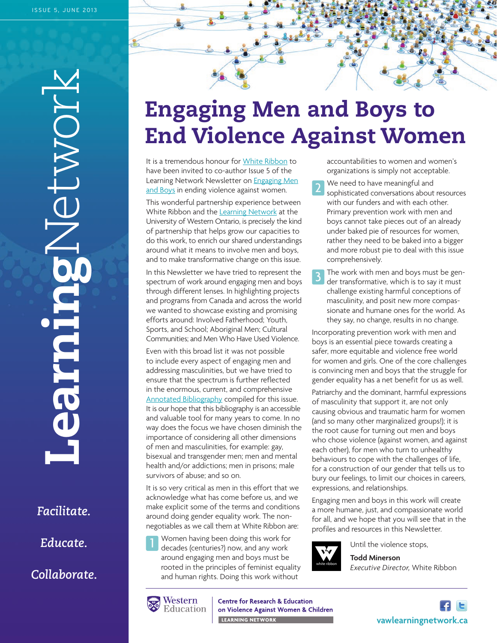**Learning**Network NONDE **CALIDES** 

*Facilitate. Educate. Collaborate.*

# **Engaging Men and Boys to End Violence Against Women**

It is a tremendous honour fo[r White Ribbon](http://www.whiteribbon.ca/) to have been invited to co-author Issue 5 of the Learning Network Newsletter on **Engaging Men** [and Boys](http://www.vawlearningnetwork.ca/engaging-men) in ending violence against women.

This wonderful partnership experience between White Ribbon and th[e Learning Network](http://vawlearningnetwork.ca/) at the University of Western Ontario, is precisely the kind of partnership that helps grow our capacities to do this work, to enrich our shared understandings around what it means to involve men and boys, and to make transformative change on this issue.

In this Newsletter we have tried to represent the spectrum of work around engaging men and boys through different lenses. In highlighting projects and programs from Canada and across the world we wanted to showcase existing and promising efforts around: Involved Fatherhood; Youth, Sports, and School; Aboriginal Men; Cultural Communities; and Men Who Have Used Violence.

Even with this broad list it was not possible to include every aspect of engaging men and addressing masculinities, but we have tried to ensure that the spectrum is further reflected in the enormous, current, and comprehensive [Annotated Bibliography](http://www.vawlearningnetwork.ca/sites/learningtoendabuse.ca.vawlearningnetwork/files/Engaging_Men_Annotated_Bibliography.pdf) compiled for this issue. It is our hope that this bibliography is an accessible and valuable tool for many years to come. In no way does the focus we have chosen diminish the importance of considering all other dimensions of men and masculinities, for example: gay, bisexual and transgender men; men and mental health and/or addictions; men in prisons; male survivors of abuse; and so on.

It is so very critical as men in this effort that we acknowledge what has come before us, and we make explicit some of the terms and conditions around doing gender equality work. The nonnegotiables as we call them at White Ribbon are:

Women having been doing this work for decades (centuries?) now, and any work around engaging men and boys must be rooted in the principles of feminist equality and human rights. Doing this work without 1

accountabilities to women and women's organizations is simply not acceptable.

- We need to have meaningful and sophisticated conversations about resources with our funders and with each other. Primary prevention work with men and boys cannot take pieces out of an already under baked pie of resources for women, rather they need to be baked into a bigger and more robust pie to deal with this issue comprehensively. 2
- The work with men and boys must be gender transformative, which is to say it must challenge existing harmful conceptions of masculinity, and posit new more compassionate and humane ones for the world. As they say, no change, results in no change. 3

Incorporating prevention work with men and boys is an essential piece towards creating a safer, more equitable and violence free world for women and girls. One of the core challenges is convincing men and boys that the struggle for gender equality has a net benefit for us as well.

Patriarchy and the dominant, harmful expressions of masculinity that support it, are not only causing obvious and traumatic harm for women (and so many other marginalized groups!); it is the root cause for turning out men and boys who chose violence (against women, and against each other), for men who turn to unhealthy behaviours to cope with the challenges of life, for a construction of our gender that tells us to bury our feelings, to limit our choices in careers, expressions, and relationships.

Engaging men and boys in this work will create a more humane, just, and compassionate world for all, and we hope that you will see that in the profiles and resources in this Newsletter.



Until the violence stops, **Todd Minerson**

*Executive Director*, White Ribbon



**Centre for Research & Education** on Violence Against Women & Children LEARNING NETWORK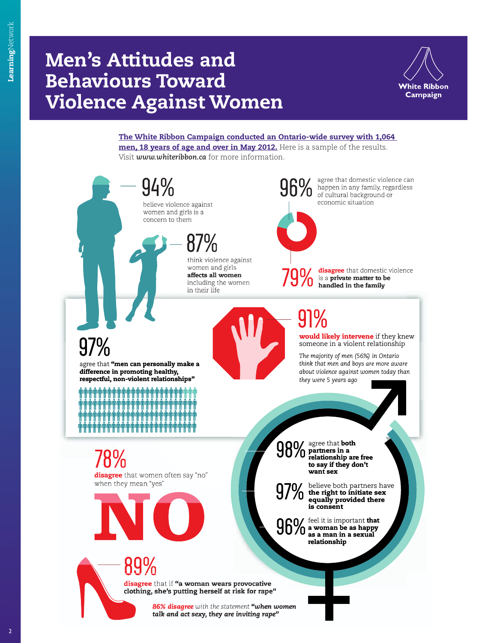## **Violence Against Women Behaviours Toward**



 **[The White Ribbon Campaign conducted an Ontario-wide survey with 1,064](http://www.whiteribbon.ca/front-page/mens-attitudes-behaviours/)**  men, 18 years of age and over in May 2012. Here is a sample of the results. Visit *www.whiteribbon.ca* for more information.



2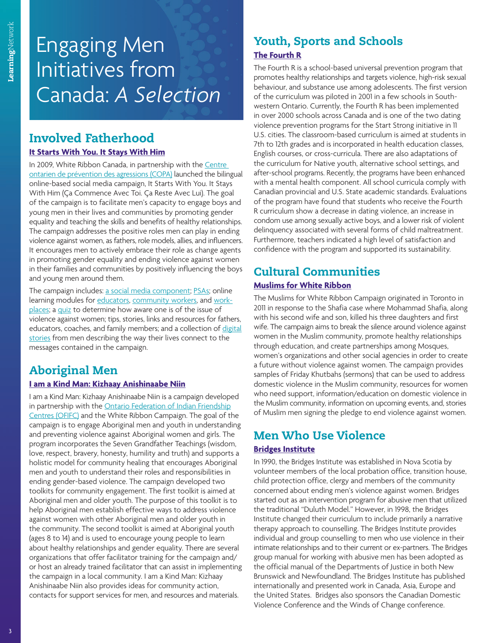# Engaging Men Initiatives from Canada: *A Selection*

## **Involved Fatherhood**

#### **[It Starts With You. It Stays With Him](http://www.itstartswithyou.ca/)**

In 2009, White Ribbon Canada, in partnership with t[he Centre](http://infocopa.com/)  [ontarien de prévention des agressions \(COPA\)](http://infocopa.com/) launched the bilingual online-based social media campaign, It Starts With You. It Stays With Him (Ça Commence Avec Toi. Ça Reste Avec Lui). The goal of the campaign is to facilitate men's capacity to engage boys and young men in their lives and communities by promoting gender equality and teaching the skills and benefits of healthy relationships. The campaign addresses the positive roles men can play in ending violence against women, as fathers, role models, allies, and influencers. It encourages men to actively embrace their role as change agents in promoting gender equality and ending violence against women in their families and communities by positively influencing the boys and young men around them.

The campaign include[s: a social media component;](https://www.facebook.com/ItStartsWithYou) [PSAs; o](http://www.itstartswithyou.ca/index.cfm?pagePath=EXPLORE_SHARE/The_Best_Advice_Video&id=33812)nline learning modules fo[r educators,](http://www.itstartswithyou.ca/index.cfm?pagepath=EDUCATORS&id=33798) [community workers,](http://www.itstartswithyou.ca/index.cfm?pagepath=EDUCATORS/Community_e_Learning_Module&id=35342) an[d work](http://www.itstartswithyou.ca/index.cfm?pagepath=PARTNERS_CHAMPIONS/Corporate&id=33946)[places;](http://www.itstartswithyou.ca/index.cfm?pagepath=PARTNERS_CHAMPIONS/Corporate&id=33946) a [quiz](http://www.itstartswithyou.ca/index.cfm?pagepath=EXPLORE_SHARE/Quiz&id=33811) to determine how aware one is of the issue of violence against women; tips, stories, links and resources for fathers, educators, coaches, and family members; and a collection o[f digital](http://www.itstartswithyou.ca/index.cfm?pagepath=EDUCATORS/Digital_Stories_Discussion_Guide/The_Stories&id=34299) [stories](http://www.itstartswithyou.ca/index.cfm?pagepath=EDUCATORS/Digital_Stories_Discussion_Guide/The_Stories&id=34299) from men describing the way their lives connect to the messages contained in the campaign.

## **Aboriginal Men**

#### **[I am a Kind Man: Kizhaay Anishinaabe Niin](http://www.iamakindman.ca/IAKM/)**

I am a Kind Man: Kizhaay Anishinaabe Niin is a campaign developed in partnership with th[e Ontario Federation of Indian Friendship](http://www.ofifc.org/) [Centres \(OFIFC\)](http://www.ofifc.org/) and the White Ribbon Campaign. The goal of the campaign is to engage Aboriginal men and youth in understanding and preventing violence against Aboriginal women and girls. The program incorporates the Seven Grandfather Teachings (wisdom, love, respect, bravery, honesty, humility and truth) and supports a holistic model for community healing that encourages Aboriginal men and youth to understand their roles and responsibilities in ending gender-based violence. The campaign developed two toolkits for community engagement. The first toolkit is aimed at Aboriginal men and older youth. The purpose of this toolkit is to help Aboriginal men establish effective ways to address violence against women with other Aboriginal men and older youth in the community. The second toolkit is aimed at Aboriginal youth (ages 8 to 14) and is used to encourage young people to learn about healthy relationships and gender equality. There are several organizations that offer facilitator training for the campaign and/ or host an already trained facilitator that can assist in implementing the campaign in a local community. I am a Kind Man: Kizhaay Anishinaabe Niin also provides ideas for community action, contacts for support services for men, and resources and materials.

## **Youth, Sports and Schools [The Fourth R](http://www.youthrelationships.org/)**

The Fourth R is a school-based universal prevention program that promotes healthy relationships and targets violence, high-risk sexual behaviour, and substance use among adolescents. The first version of the curriculum was piloted in 2001 in a few schools in Southwestern Ontario. Currently, the Fourth R has been implemented in over 2000 schools across Canada and is one of the two dating violence prevention programs for the Start Strong initiative in 11 U.S. cities. The classroom-based curriculum is aimed at students in 7th to 12th grades and is incorporated in health education classes, English courses, or cross-curricula. There are also adaptations of the curriculum for Native youth, alternative school settings, and after-school programs. Recently, the programs have been enhanced with a mental health component. All school curricula comply with Canadian provincial and U.S. State academic standards. Evaluations of the program have found that students who receive the Fourth R curriculum show a decrease in dating violence, an increase in condom use among sexually active boys, and a lower risk of violent delinquency associated with several forms of child maltreatment. Furthermore, teachers indicated a high level of satisfaction and confidence with the program and supported its sustainability.

### **Cultural Communities [Muslims for White Ribbon](http://muslimsforwhiteribbon.com/)**

The Muslims for White Ribbon Campaign originated in Toronto in 2011 in response to the Shafia case where Mohammad Shafia, along with his second wife and son, killed his three daughters and first wife. The campaign aims to break the silence around violence against women in the Muslim community, promote healthy relationships through education, and create partnerships among Mosques, women's organizations and other social agencies in order to create a future without violence against women. The campaign provides samples of Friday Khutbahs (sermons) that can be used to address domestic violence in the Muslim community, resources for women who need support, information/education on domestic violence in the Muslim community, information on upcoming events, and, stories of Muslim men signing the pledge to end violence against women.

### **Men Who Use Violence [Bridges Institute](www.bridgesinstitute.org)**

In 1990, the Bridges Institute was established in Nova Scotia by volunteer members of the local probation office, transition house, child protection office, clergy and members of the community concerned about ending men's violence against women. Bridges started out as an intervention program for abusive men that utilized the traditional "Duluth Model." However, in 1998, the Bridges Institute changed their curriculum to include primarily a narrative therapy approach to counselling. The Bridges Institute provides individual and group counselling to men who use violence in their intimate relationships and to their current or ex-partners. The Bridges group manual for working with abusive men has been adopted as the official manual of the Departments of Justice in both New Brunswick and Newfoundland. The Bridges Institute has published internationally and presented work in Canada, Asia, Europe and the United States. Bridges also sponsors the Canadian Domestic Violence Conference and the Winds of Change conference.